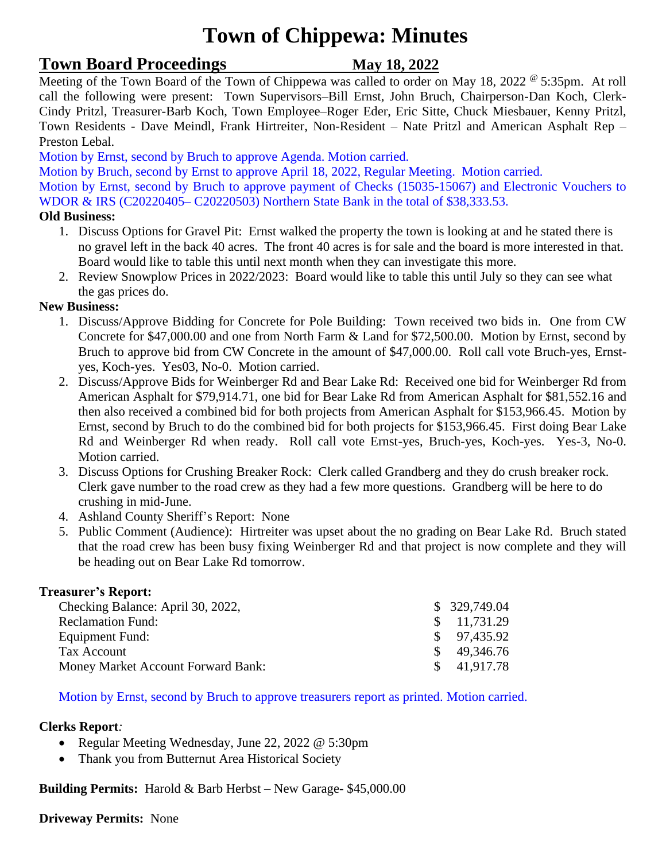# **Town of Chippewa: Minutes**

## **Town Board Proceedings** May 18, 2022

Meeting of the Town Board of the Town of Chippewa was called to order on May 18, 2022  $^{\circ}$  5:35pm. At roll call the following were present: Town Supervisors–Bill Ernst, John Bruch, Chairperson-Dan Koch, Clerk-Cindy Pritzl, Treasurer-Barb Koch, Town Employee–Roger Eder, Eric Sitte, Chuck Miesbauer, Kenny Pritzl, Town Residents - Dave Meindl, Frank Hirtreiter, Non-Resident – Nate Pritzl and American Asphalt Rep – Preston Lebal.

Motion by Ernst, second by Bruch to approve Agenda. Motion carried.

Motion by Bruch, second by Ernst to approve April 18, 2022, Regular Meeting. Motion carried.

Motion by Ernst, second by Bruch to approve payment of Checks (15035-15067) and Electronic Vouchers to WDOR & IRS (C20220405– C20220503) Northern State Bank in the total of \$38,333.53.

### **Old Business:**

- 1. Discuss Options for Gravel Pit: Ernst walked the property the town is looking at and he stated there is no gravel left in the back 40 acres. The front 40 acres is for sale and the board is more interested in that. Board would like to table this until next month when they can investigate this more.
- 2. Review Snowplow Prices in 2022/2023: Board would like to table this until July so they can see what the gas prices do.

### **New Business:**

- 1. Discuss/Approve Bidding for Concrete for Pole Building: Town received two bids in. One from CW Concrete for \$47,000.00 and one from North Farm & Land for \$72,500.00. Motion by Ernst, second by Bruch to approve bid from CW Concrete in the amount of \$47,000.00. Roll call vote Bruch-yes, Ernstyes, Koch-yes. Yes03, No-0. Motion carried.
- 2. Discuss/Approve Bids for Weinberger Rd and Bear Lake Rd: Received one bid for Weinberger Rd from American Asphalt for \$79,914.71, one bid for Bear Lake Rd from American Asphalt for \$81,552.16 and then also received a combined bid for both projects from American Asphalt for \$153,966.45. Motion by Ernst, second by Bruch to do the combined bid for both projects for \$153,966.45. First doing Bear Lake Rd and Weinberger Rd when ready. Roll call vote Ernst-yes, Bruch-yes, Koch-yes. Yes-3, No-0. Motion carried.
- 3. Discuss Options for Crushing Breaker Rock: Clerk called Grandberg and they do crush breaker rock. Clerk gave number to the road crew as they had a few more questions. Grandberg will be here to do crushing in mid-June.
- 4. Ashland County Sheriff's Report: None
- 5. Public Comment (Audience): Hirtreiter was upset about the no grading on Bear Lake Rd. Bruch stated that the road crew has been busy fixing Weinberger Rd and that project is now complete and they will be heading out on Bear Lake Rd tomorrow.

### **Treasurer's Report:**

| Checking Balance: April 30, 2022,  | \$329,749.04          |
|------------------------------------|-----------------------|
| <b>Reclamation Fund:</b>           | $\frac{11,731.29}{2}$ |
| Equipment Fund:                    | $\$$ 97,435.92        |
| Tax Account                        | $\frac{\$}{9.346.76}$ |
| Money Market Account Forward Bank: | \$41,917.78           |

Motion by Ernst, second by Bruch to approve treasurers report as printed. Motion carried.

### **Clerks Report***:*

- Regular Meeting Wednesday, June 22, 2022 @ 5:30pm
- Thank you from Butternut Area Historical Society

**Building Permits:** Harold & Barb Herbst – New Garage- \$45,000.00

**Driveway Permits:** None